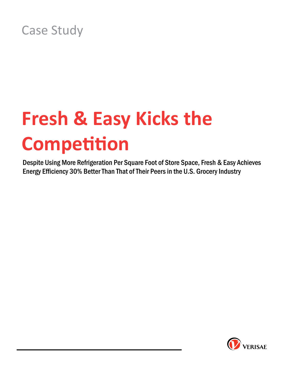## Case Study

# **Fresh & Easy Kicks the Competition**

Despite Using More Refrigeration Per Square Foot of Store Space, Fresh & Easy Achieves Energy Efficiency 30% Better Than That of Their Peers in the U.S. Grocery Industry

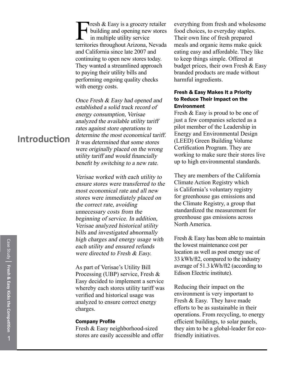Fresh & Easy is a grocery retailer<br>building and opening new stores<br>in multiple utility service<br>territories throughout Arizona Nevada building and opening new stores in multiple utility service territories throughout Arizona, Nevada and California since late 2007 and continuing to open new stores today. They wanted a streamlined approach to paying their utility bills and performing ongoing quality checks with energy costs.

Once Fresh & Easy had opened and established a solid track record of energy consumption, Verisae analyzed the available utility tariff rates against store operations to determine the most economical tariff. It was determined that some stores were originally placed on the wrong utility tariff and would financially benefit by switching to a new rate.

Verisae worked with each utility to ensure stores were transferred to the most economical rate and all new stores were immediately placed on the correct rate, avoiding unnecessary costs from the beginning of service. In addition, Verisae analyzed historical utility bills and investigated abnormally high charges and energy usage with each utility and ensured refunds were directed to Fresh & Easy.

As part of Verisae's Utility Bill Processing (UBP) service, Fresh & Easy decided to implement a service whereby each stores utility tariff was verified and historical usage was analyzed to ensure correct energy charges.

#### Company Profile

Fresh & Easy neighborhood-sized stores are easily accessible and offer everything from fresh and wholesome food choices, to everyday staples. Their own line of fresh prepared meals and organic items make quick eating easy and affordable. They like to keep things simple. Offered at budget prices, their own Fresh & Easy branded products are made without harmful ingredients.

### Fresh & Easy Makes It a Priority to Reduce Their Impact on the Environment

Fresh & Easy is proud to be one of just a few companies selected as a pilot member of the Leadership in Energy and Environmental Design (LEED) Green Building Volume Certification Program. They are working to make sure their stores live up to high environmental standards.

They are members of the California Climate Action Registry which is California's voluntary registry for greenhouse gas emissions and the Climate Registry, a group that standardized the measurement for greenhouse gas emissions across North America.

Fresh & Easy has been able to maintain the lowest maintenance cost per location as well as post energy use of 33 kWh/ft2, compared to the industry average of 51.3 kWh/ft2 (according to Edison Electric institute).

Reducing their impact on the environment is very important to Fresh & Easy. They have made efforts to be as sustainable in their operations. From recycling, to energy efficient buildings, to solar panels, they aim to be a global-leader for ecofriendly initiatives.

### **Introduction**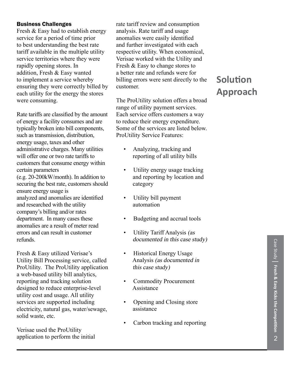### Business Challenges

Fresh & Easy had to establish energy service for a period of time prior to best understanding the best rate tariff available in the multiple utility service territories where they were rapidly opening stores. In addition, Fresh & Easy wanted to implement a service whereby ensuring they were correctly billed by each utility for the energy the stores were consuming.

Rate tariffs are classified by the amount of energy a facility consumes and are typically broken into bill components, such as transmission, distribution, energy usage, taxes and other administrative charges. Many utilities will offer one or two rate tariffs to customers that consume energy within certain parameters (e.g. 20-200kW/month). In addition to securing the best rate, customers should ensure energy usage is analyzed and anomalies are identified and researched with the utility company's billing and/or rates department. In many cases these anomalies are a result of meter read errors and can result in customer refunds.

Fresh & Easy utilized Verisae's Utility Bill Processing service, called ProUtility. The ProUtility application a web-based utility bill analytics, reporting and tracking solution designed to reduce enterprise-level utility cost and usage. All utility services are supported including electricity, natural gas, water/sewage, solid waste, etc.

Verisae used the ProUtility application to perform the initial rate tariff review and consumption analysis. Rate tariff and usage anomalies were easily identified and further investigated with each respective utility. When economical, Verisae worked with the Utility and Fresh & Easy to change stores to a better rate and refunds were for billing errors were sent directly to the customer.

The ProUtility solution offers a broad range of utility payment services. Each service offers customers a way to reduce their energy expenditure. Some of the services are listed below. ProUtility Service Features:

- Analyzing, tracking and reporting of all utility bills
- Utility energy usage tracking and reporting by location and category
- Utility bill payment automation
- Budgeting and accrual tools
- Utility Tariff Analysis (as documented in this case study)
- Historical Energy Usage Analysis (as documented in this case study)
- Commodity Procurement Assistance
- Opening and Closing store assistance
- Carbon tracking and reporting

### **Solution Approach**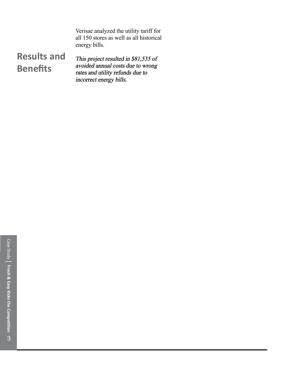Verisae analyzed the utility tariff for all 150 stores as well as all historical energy bills.

### **Results and Benefits**

This project resulted in \$81,535 of avoided annual costs due to wrong rates and utility refunds due to incorrect energy bills.